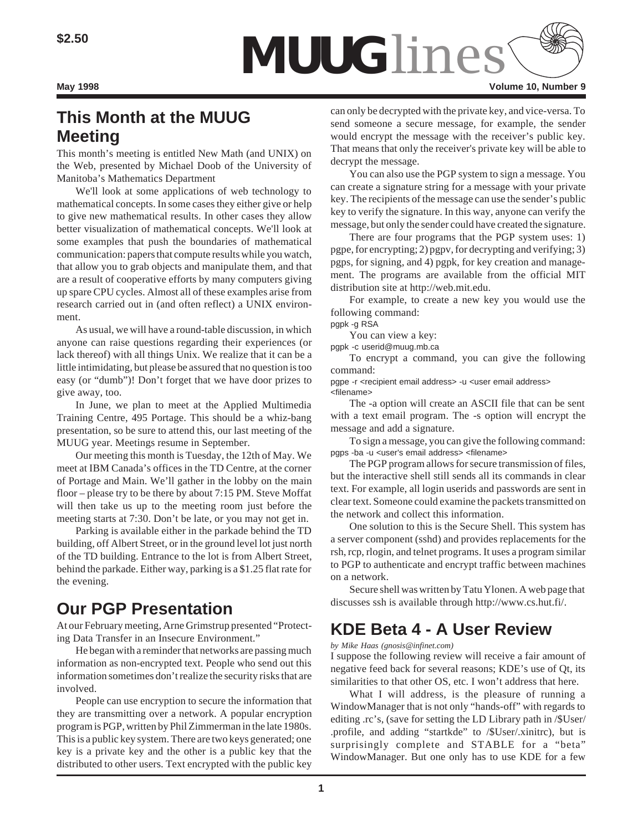

# **This Month at the MUUG Meeting**

This month's meeting is entitled New Math (and UNIX) on the Web, presented by Michael Doob of the University of Manitoba's Mathematics Department

We'll look at some applications of web technology to mathematical concepts. In some cases they either give or help to give new mathematical results. In other cases they allow better visualization of mathematical concepts. We'll look at some examples that push the boundaries of mathematical communication: papers that compute results while you watch, that allow you to grab objects and manipulate them, and that are a result of cooperative efforts by many computers giving up spare CPU cycles. Almost all of these examples arise from research carried out in (and often reflect) a UNIX environment.

As usual, we will have a round-table discussion, in which anyone can raise questions regarding their experiences (or lack thereof) with all things Unix. We realize that it can be a little intimidating, but please be assured that no question is too easy (or "dumb")! Don't forget that we have door prizes to give away, too.

In June, we plan to meet at the Applied Multimedia Training Centre, 495 Portage. This should be a whiz-bang presentation, so be sure to attend this, our last meeting of the MUUG year. Meetings resume in September.

Our meeting this month is Tuesday, the 12th of May. We meet at IBM Canada's offices in the TD Centre, at the corner of Portage and Main. We'll gather in the lobby on the main floor – please try to be there by about 7:15 PM. Steve Moffat will then take us up to the meeting room just before the meeting starts at 7:30. Don't be late, or you may not get in.

Parking is available either in the parkade behind the TD building, off Albert Street, or in the ground level lot just north of the TD building. Entrance to the lot is from Albert Street, behind the parkade. Either way, parking is a \$1.25 flat rate for the evening.

# **Our PGP Presentation**

At our February meeting, Arne Grimstrup presented "Protecting Data Transfer in an Insecure Environment."

He began with a reminder that networks are passing much information as non-encrypted text. People who send out this information sometimes don't realize the security risks that are involved.

People can use encryption to secure the information that they are transmitting over a network. A popular encryption program is PGP, written by Phil Zimmerman in the late 1980s. This is a public key system. There are two keys generated; one key is a private key and the other is a public key that the distributed to other users. Text encrypted with the public key can only be decrypted with the private key, and vice-versa. To send someone a secure message, for example, the sender would encrypt the message with the receiver's public key. That means that only the receiver's private key will be able to decrypt the message.

You can also use the PGP system to sign a message. You can create a signature string for a message with your private key. The recipients of the message can use the sender's public key to verify the signature. In this way, anyone can verify the message, but only the sender could have created the signature.

There are four programs that the PGP system uses: 1) pgpe, for encrypting; 2) pgpv, for decrypting and verifying; 3) pgps, for signing, and 4) pgpk, for key creation and management. The programs are available from the official MIT distribution site at http://web.mit.edu.

For example, to create a new key you would use the following command:

pgpk -g RSA

You can view a key:

pgpk -c userid@muug.mb.ca

To encrypt a command, you can give the following command:

pgpe -r <recipient email address> -u <user email address> <filename>

The -a option will create an ASCII file that can be sent with a text email program. The -s option will encrypt the message and add a signature.

To sign a message, you can give the following command: pgps -ba -u <user's email address> <filename>

The PGP program allows for secure transmission of files, but the interactive shell still sends all its commands in clear text. For example, all login userids and passwords are sent in clear text. Someone could examine the packets transmitted on the network and collect this information.

One solution to this is the Secure Shell. This system has a server component (sshd) and provides replacements for the rsh, rcp, rlogin, and telnet programs. It uses a program similar to PGP to authenticate and encrypt traffic between machines on a network.

Secure shell was written by Tatu Ylonen. A web page that discusses ssh is available through http://www.cs.hut.fi/.

# **KDE Beta 4 - A User Review**

## *by Mike Haas (gnosis@infinet.com)*

I suppose the following review will receive a fair amount of negative feed back for several reasons; KDE's use of Qt, its similarities to that other OS, etc. I won't address that here.

What I will address, is the pleasure of running a WindowManager that is not only "hands-off" with regards to editing .rc's, (save for setting the LD Library path in /\$User/ .profile, and adding "startkde" to /\$User/.xinitrc), but is surprisingly complete and STABLE for a "beta" WindowManager. But one only has to use KDE for a few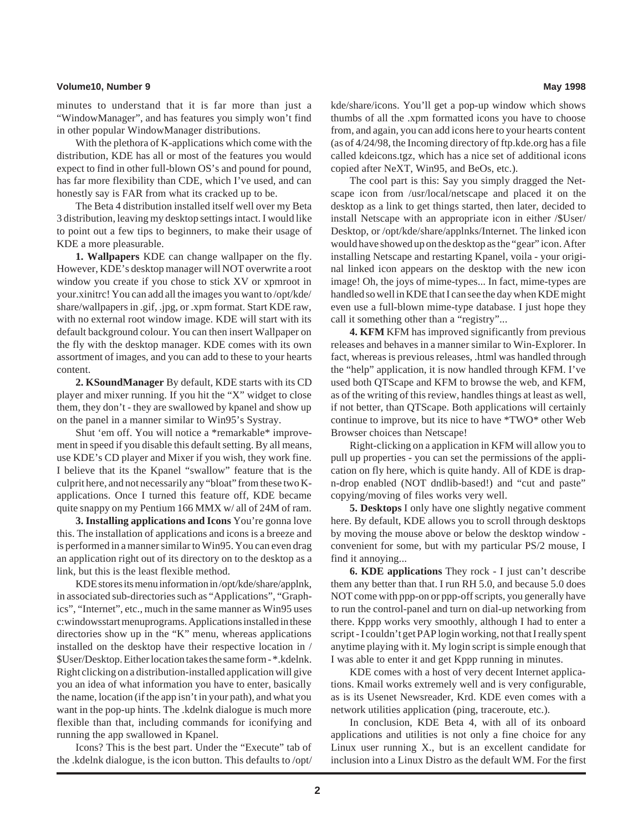### **Volume10, Number 9 May 1998**

minutes to understand that it is far more than just a "WindowManager", and has features you simply won't find in other popular WindowManager distributions.

With the plethora of K-applications which come with the distribution, KDE has all or most of the features you would expect to find in other full-blown OS's and pound for pound, has far more flexibility than CDE, which I've used, and can honestly say is FAR from what its cracked up to be.

The Beta 4 distribution installed itself well over my Beta 3 distribution, leaving my desktop settings intact. I would like to point out a few tips to beginners, to make their usage of KDE a more pleasurable.

**1. Wallpapers** KDE can change wallpaper on the fly. However, KDE's desktop manager will NOT overwrite a root window you create if you chose to stick XV or xpmroot in your.xinitrc! You can add all the images you want to /opt/kde/ share/wallpapers in .gif, .jpg, or .xpm format. Start KDE raw, with no external root window image. KDE will start with its default background colour. You can then insert Wallpaper on the fly with the desktop manager. KDE comes with its own assortment of images, and you can add to these to your hearts content.

**2. KSoundManager** By default, KDE starts with its CD player and mixer running. If you hit the "X" widget to close them, they don't - they are swallowed by kpanel and show up on the panel in a manner similar to Win95's Systray.

Shut 'em off. You will notice a \*remarkable\* improvement in speed if you disable this default setting. By all means, use KDE's CD player and Mixer if you wish, they work fine. I believe that its the Kpanel "swallow" feature that is the culprit here, and not necessarily any "bloat" from these two Kapplications. Once I turned this feature off, KDE became quite snappy on my Pentium 166 MMX w/ all of 24M of ram.

**3. Installing applications and Icons** You're gonna love this. The installation of applications and icons is a breeze and is performed in a manner similar to Win95. You can even drag an application right out of its directory on to the desktop as a link, but this is the least flexible method.

KDE stores its menu information in /opt/kde/share/applnk, in associated sub-directories such as "Applications", "Graphics", "Internet", etc., much in the same manner as Win95 uses c:windowsstart menuprograms. Applications installed in these directories show up in the "K" menu, whereas applications installed on the desktop have their respective location in / \$User/Desktop. Either location takes the same form - \*.kdelnk. Right clicking on a distribution-installed application will give you an idea of what information you have to enter, basically the name, location (if the app isn't in your path), and what you want in the pop-up hints. The .kdelnk dialogue is much more flexible than that, including commands for iconifying and running the app swallowed in Kpanel.

Icons? This is the best part. Under the "Execute" tab of the .kdelnk dialogue, is the icon button. This defaults to /opt/ kde/share/icons. You'll get a pop-up window which shows thumbs of all the .xpm formatted icons you have to choose from, and again, you can add icons here to your hearts content (as of 4/24/98, the Incoming directory of ftp.kde.org has a file called kdeicons.tgz, which has a nice set of additional icons copied after NeXT, Win95, and BeOs, etc.).

The cool part is this: Say you simply dragged the Netscape icon from /usr/local/netscape and placed it on the desktop as a link to get things started, then later, decided to install Netscape with an appropriate icon in either /\$User/ Desktop, or /opt/kde/share/applnks/Internet. The linked icon would have showed up on the desktop as the "gear" icon. After installing Netscape and restarting Kpanel, voila - your original linked icon appears on the desktop with the new icon image! Oh, the joys of mime-types... In fact, mime-types are handled so well in KDE that I can see the day when KDE might even use a full-blown mime-type database. I just hope they call it something other than a "registry"...

**4. KFM** KFM has improved significantly from previous releases and behaves in a manner similar to Win-Explorer. In fact, whereas is previous releases, .html was handled through the "help" application, it is now handled through KFM. I've used both QTScape and KFM to browse the web, and KFM, as of the writing of this review, handles things at least as well, if not better, than QTScape. Both applications will certainly continue to improve, but its nice to have \*TWO\* other Web Browser choices than Netscape!

Right-clicking on a application in KFM will allow you to pull up properties - you can set the permissions of the application on fly here, which is quite handy. All of KDE is drapn-drop enabled (NOT dndlib-based!) and "cut and paste" copying/moving of files works very well.

**5. Desktops** I only have one slightly negative comment here. By default, KDE allows you to scroll through desktops by moving the mouse above or below the desktop window convenient for some, but with my particular PS/2 mouse, I find it annoying...

**6. KDE applications** They rock - I just can't describe them any better than that. I run RH 5.0, and because 5.0 does NOT come with ppp-on or ppp-off scripts, you generally have to run the control-panel and turn on dial-up networking from there. Kppp works very smoothly, although I had to enter a script - I couldn't get PAP login working, not that I really spent anytime playing with it. My login script is simple enough that I was able to enter it and get Kppp running in minutes.

KDE comes with a host of very decent Internet applications. Kmail works extremely well and is very configurable, as is its Usenet Newsreader, Krd. KDE even comes with a network utilities application (ping, traceroute, etc.).

In conclusion, KDE Beta 4, with all of its onboard applications and utilities is not only a fine choice for any Linux user running X., but is an excellent candidate for inclusion into a Linux Distro as the default WM. For the first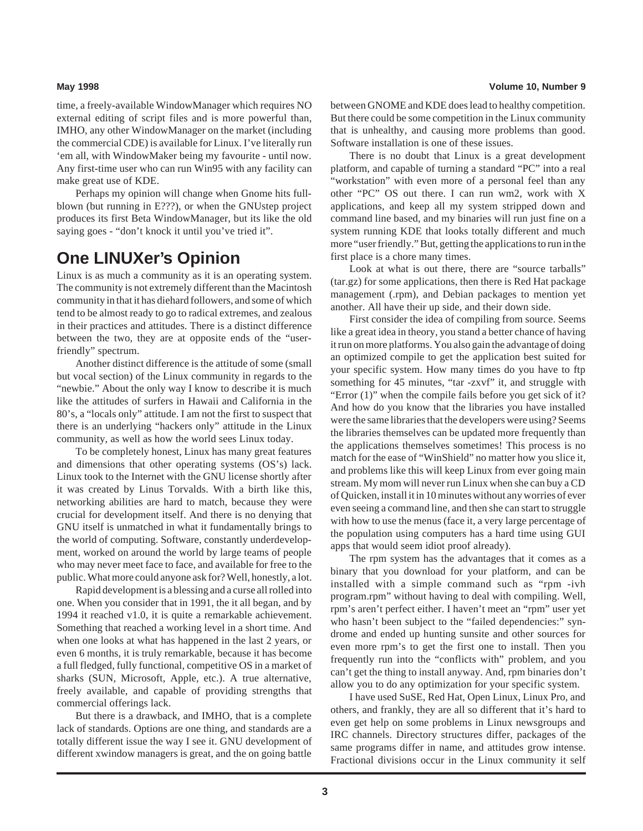time, a freely-available WindowManager which requires NO external editing of script files and is more powerful than, IMHO, any other WindowManager on the market (including the commercial CDE) is available for Linux. I've literally run 'em all, with WindowMaker being my favourite - until now. Any first-time user who can run Win95 with any facility can make great use of KDE.

Perhaps my opinion will change when Gnome hits fullblown (but running in E???), or when the GNUstep project produces its first Beta WindowManager, but its like the old saying goes - "don't knock it until you've tried it".

## **One LINUXer's Opinion**

Linux is as much a community as it is an operating system. The community is not extremely different than the Macintosh community in that it has diehard followers, and some of which tend to be almost ready to go to radical extremes, and zealous in their practices and attitudes. There is a distinct difference between the two, they are at opposite ends of the "userfriendly" spectrum.

Another distinct difference is the attitude of some (small but vocal section) of the Linux community in regards to the "newbie." About the only way I know to describe it is much like the attitudes of surfers in Hawaii and California in the 80's, a "locals only" attitude. I am not the first to suspect that there is an underlying "hackers only" attitude in the Linux community, as well as how the world sees Linux today.

To be completely honest, Linux has many great features and dimensions that other operating systems (OS's) lack. Linux took to the Internet with the GNU license shortly after it was created by Linus Torvalds. With a birth like this, networking abilities are hard to match, because they were crucial for development itself. And there is no denying that GNU itself is unmatched in what it fundamentally brings to the world of computing. Software, constantly underdevelopment, worked on around the world by large teams of people who may never meet face to face, and available for free to the public. What more could anyone ask for? Well, honestly, a lot.

Rapid development is a blessing and a curse all rolled into one. When you consider that in 1991, the it all began, and by 1994 it reached v1.0, it is quite a remarkable achievement. Something that reached a working level in a short time. And when one looks at what has happened in the last 2 years, or even 6 months, it is truly remarkable, because it has become a full fledged, fully functional, competitive OS in a market of sharks (SUN, Microsoft, Apple, etc.). A true alternative, freely available, and capable of providing strengths that commercial offerings lack.

But there is a drawback, and IMHO, that is a complete lack of standards. Options are one thing, and standards are a totally different issue the way I see it. GNU development of different xwindow managers is great, and the on going battle

### **May 1998 Volume 10, Number 9**

between GNOME and KDE does lead to healthy competition. But there could be some competition in the Linux community that is unhealthy, and causing more problems than good. Software installation is one of these issues.

There is no doubt that Linux is a great development platform, and capable of turning a standard "PC" into a real "workstation" with even more of a personal feel than any other "PC" OS out there. I can run wm2, work with X applications, and keep all my system stripped down and command line based, and my binaries will run just fine on a system running KDE that looks totally different and much more "user friendly." But, getting the applications to run in the first place is a chore many times.

Look at what is out there, there are "source tarballs" (tar.gz) for some applications, then there is Red Hat package management (.rpm), and Debian packages to mention yet another. All have their up side, and their down side.

First consider the idea of compiling from source. Seems like a great idea in theory, you stand a better chance of having it run on more platforms. You also gain the advantage of doing an optimized compile to get the application best suited for your specific system. How many times do you have to ftp something for 45 minutes, "tar -zxvf" it, and struggle with "Error (1)" when the compile fails before you get sick of it? And how do you know that the libraries you have installed were the same libraries that the developers were using? Seems the libraries themselves can be updated more frequently than the applications themselves sometimes! This process is no match for the ease of "WinShield" no matter how you slice it, and problems like this will keep Linux from ever going main stream. My mom will never run Linux when she can buy a CD of Quicken, install it in 10 minutes without any worries of ever even seeing a command line, and then she can start to struggle with how to use the menus (face it, a very large percentage of the population using computers has a hard time using GUI apps that would seem idiot proof already).

The rpm system has the advantages that it comes as a binary that you download for your platform, and can be installed with a simple command such as "rpm -ivh program.rpm" without having to deal with compiling. Well, rpm's aren't perfect either. I haven't meet an "rpm" user yet who hasn't been subject to the "failed dependencies:" syndrome and ended up hunting sunsite and other sources for even more rpm's to get the first one to install. Then you frequently run into the "conflicts with" problem, and you can't get the thing to install anyway. And, rpm binaries don't allow you to do any optimization for your specific system.

I have used SuSE, Red Hat, Open Linux, Linux Pro, and others, and frankly, they are all so different that it's hard to even get help on some problems in Linux newsgroups and IRC channels. Directory structures differ, packages of the same programs differ in name, and attitudes grow intense. Fractional divisions occur in the Linux community it self